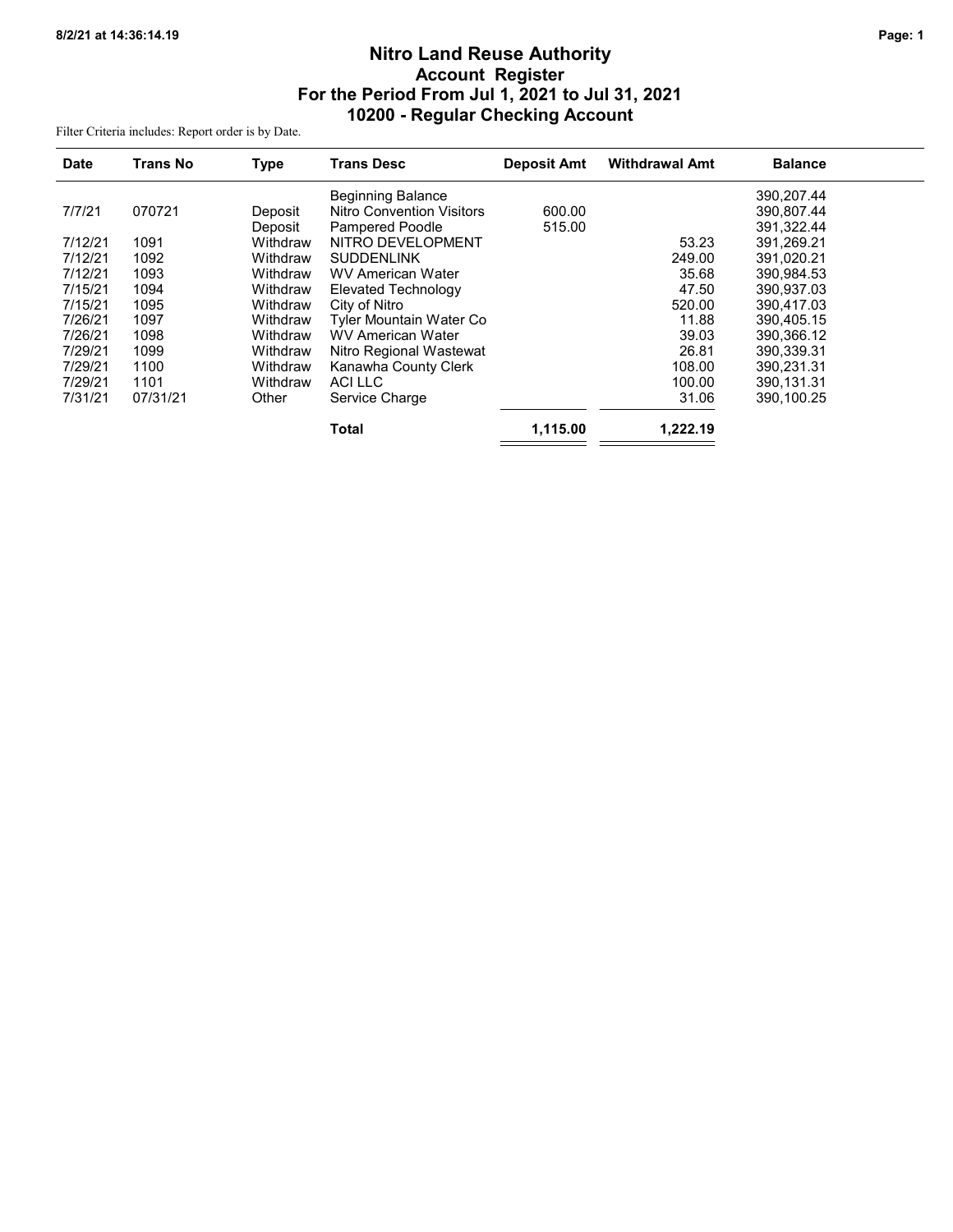# Nitro Land Reuse Authority Account Register For the Period From Jul 1, 2021 to Jul 31, 2021 10200 - Regular Checking Account

Filter Criteria includes: Report order is by Date.

| <b>Date</b> | <b>Trans No</b> | <b>Type</b> | <b>Trans Desc</b>                | <b>Deposit Amt</b> | <b>Withdrawal Amt</b> | <b>Balance</b> |
|-------------|-----------------|-------------|----------------------------------|--------------------|-----------------------|----------------|
|             |                 |             | <b>Beginning Balance</b>         |                    |                       | 390,207.44     |
| 7/7/21      | 070721          | Deposit     | <b>Nitro Convention Visitors</b> | 600.00             |                       | 390,807.44     |
|             |                 | Deposit     | <b>Pampered Poodle</b>           | 515.00             |                       | 391,322.44     |
| 7/12/21     | 1091            | Withdraw    | NITRO DEVELOPMENT                |                    | 53.23                 | 391,269.21     |
| 7/12/21     | 1092            | Withdraw    | <b>SUDDENLINK</b>                |                    | 249.00                | 391,020.21     |
| 7/12/21     | 1093            | Withdraw    | <b>WV American Water</b>         |                    | 35.68                 | 390,984.53     |
| 7/15/21     | 1094            | Withdraw    | Elevated Technology              |                    | 47.50                 | 390,937.03     |
| 7/15/21     | 1095            | Withdraw    | City of Nitro                    |                    | 520.00                | 390.417.03     |
| 7/26/21     | 1097            | Withdraw    | Tyler Mountain Water Co          |                    | 11.88                 | 390,405.15     |
| 7/26/21     | 1098            | Withdraw    | <b>WV American Water</b>         |                    | 39.03                 | 390,366.12     |
| 7/29/21     | 1099            | Withdraw    | Nitro Regional Wastewat          |                    | 26.81                 | 390,339.31     |
| 7/29/21     | 1100            | Withdraw    | Kanawha County Clerk             |                    | 108.00                | 390,231.31     |
| 7/29/21     | 1101            | Withdraw    | <b>ACILLC</b>                    |                    | 100.00                | 390,131.31     |
| 7/31/21     | 07/31/21        | Other       | Service Charge                   |                    | 31.06                 | 390,100.25     |
|             |                 |             | <b>Total</b>                     | 1,115.00           | 1,222.19              |                |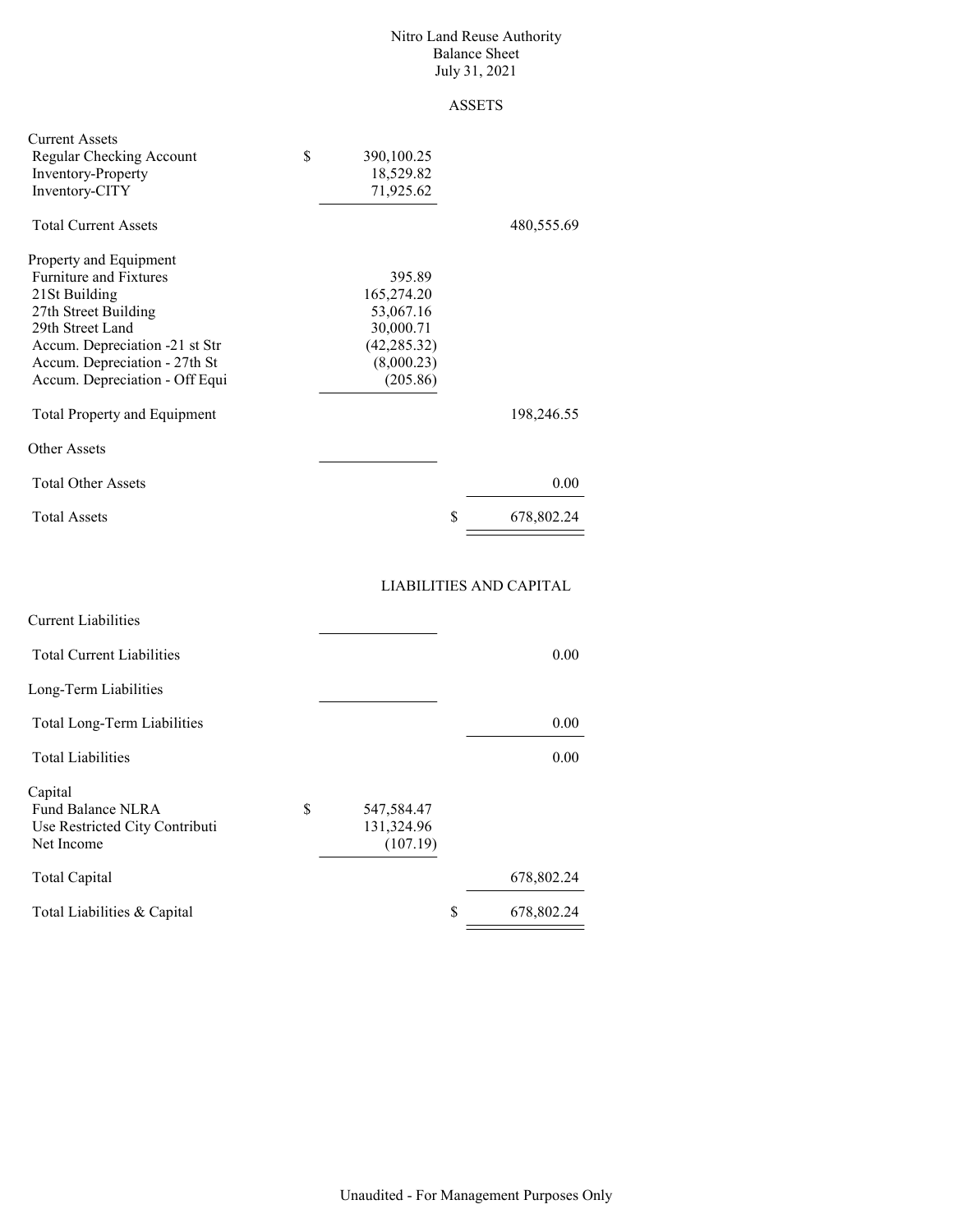#### Nitro Land Reuse Authority Balance Sheet July 31, 2021

# ASSETS

| <b>Current Assets</b><br>Regular Checking Account<br><b>Inventory-Property</b><br>Inventory-CITY | \$<br>390,100.25<br>18,529.82<br>71,925.62 |                  |
|--------------------------------------------------------------------------------------------------|--------------------------------------------|------------------|
| <b>Total Current Assets</b>                                                                      |                                            | 480,555.69       |
| Property and Equipment                                                                           |                                            |                  |
| <b>Furniture and Fixtures</b>                                                                    | 395.89                                     |                  |
| 21St Building                                                                                    | 165,274.20                                 |                  |
| 27th Street Building                                                                             | 53,067.16                                  |                  |
| 29th Street Land                                                                                 | 30,000.71                                  |                  |
| Accum. Depreciation -21 st Str                                                                   | (42, 285.32)                               |                  |
| Accum. Depreciation - 27th St                                                                    | (8,000.23)                                 |                  |
| Accum. Depreciation - Off Equi                                                                   | (205.86)                                   |                  |
| <b>Total Property and Equipment</b>                                                              |                                            | 198,246.55       |
| Other Assets                                                                                     |                                            |                  |
| <b>Total Other Assets</b>                                                                        |                                            | 0.00             |
| <b>Total Assets</b>                                                                              |                                            | \$<br>678,802.24 |

## LIABILITIES AND CAPITAL

| <b>Current Liabilities</b>                                                        |                                      |            |
|-----------------------------------------------------------------------------------|--------------------------------------|------------|
| <b>Total Current Liabilities</b>                                                  |                                      | 0.00       |
| Long-Term Liabilities                                                             |                                      |            |
| Total Long-Term Liabilities                                                       |                                      | 0.00       |
| <b>Total Liabilities</b>                                                          |                                      | 0.00       |
| Capital<br>S<br>Fund Balance NLRA<br>Use Restricted City Contributi<br>Net Income | 547,584.47<br>131,324.96<br>(107.19) |            |
| Total Capital                                                                     |                                      | 678,802.24 |
| Total Liabilities & Capital                                                       | S                                    | 678,802.24 |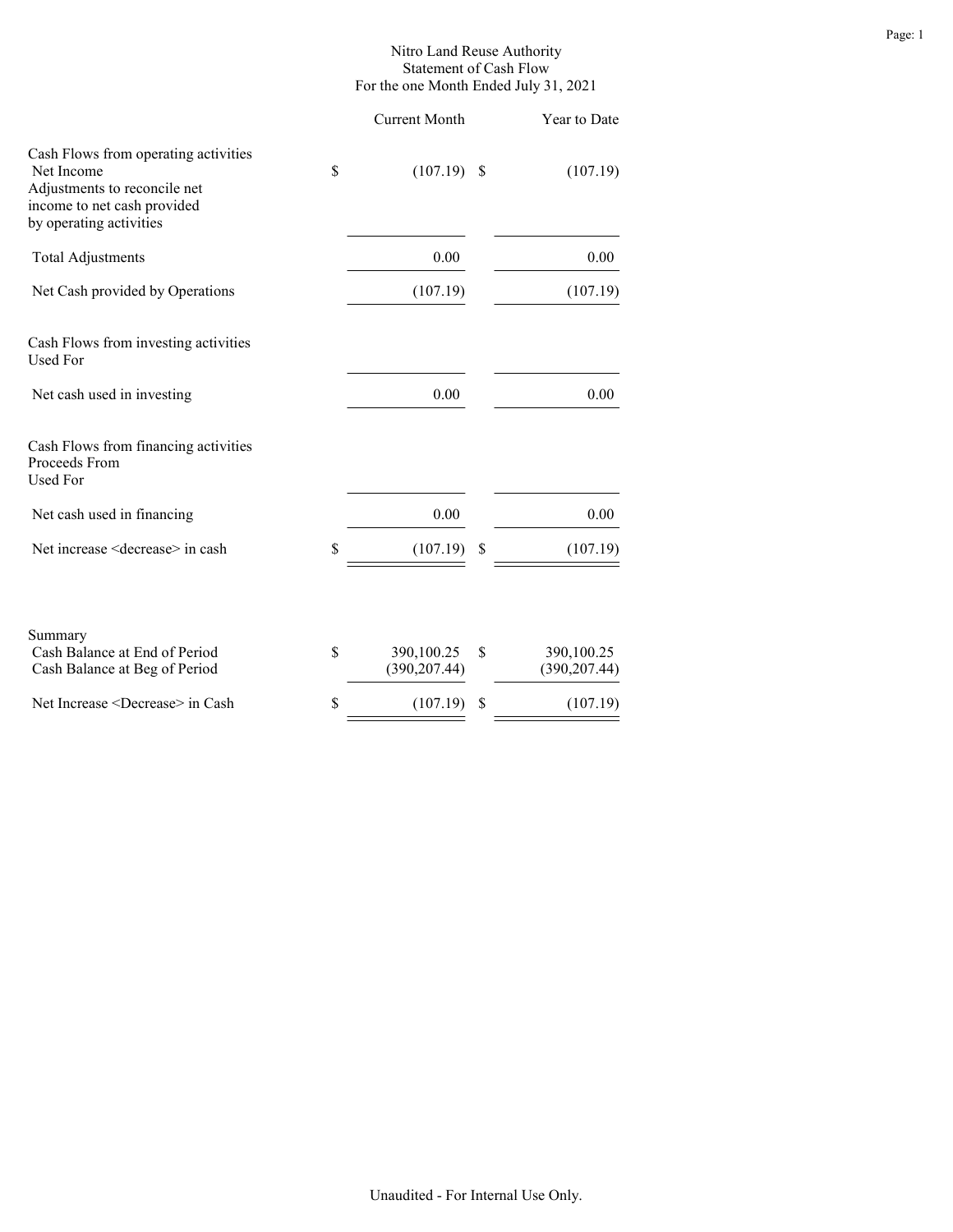#### Nitro Land Reuse Authority Statement of Cash Flow For the one Month Ended July 31, 2021

|                                   | Year to Date                      |
|-----------------------------------|-----------------------------------|
| \$                                | (107.19)                          |
| 0.00                              | 0.00                              |
| (107.19)                          | (107.19)                          |
|                                   |                                   |
| 0.00                              | 0.00                              |
|                                   |                                   |
| 0.00                              | 0.00                              |
| \$<br>(107.19)                    | \$<br>(107.19)                    |
| \$<br>390,100.25<br>(390, 207.44) | \$<br>390,100.25<br>(390, 207.44) |
| \$<br>(107.19)                    | \$<br>(107.19)                    |
|                                   | $(107.19)$ \$                     |